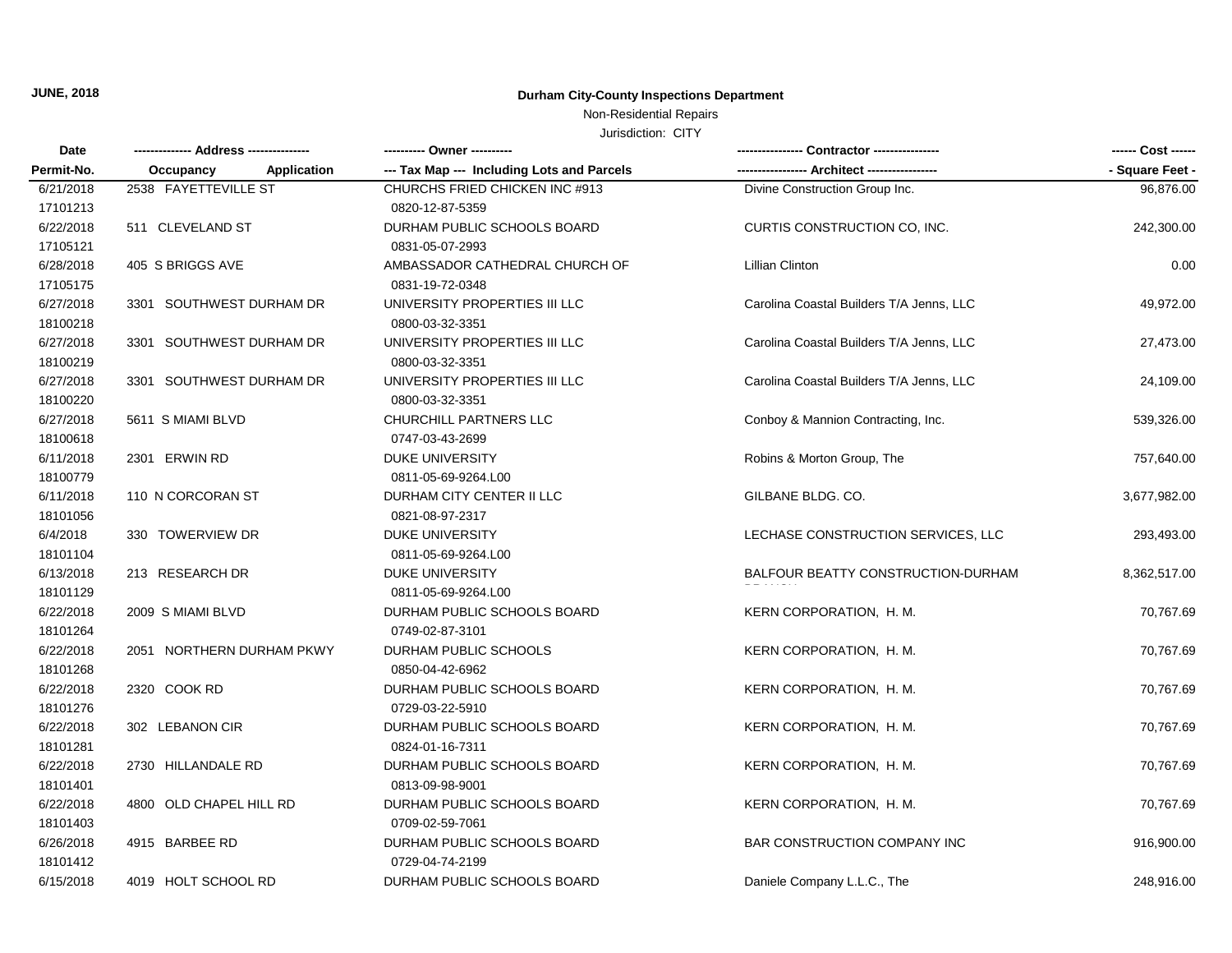## Non-Residential Repairs

| Date       | ------------- Address -------------- | ---------- Owner ----------                |                                          | ------ Cost ------ |  |
|------------|--------------------------------------|--------------------------------------------|------------------------------------------|--------------------|--|
| Permit-No. | Application<br>Occupancy             | --- Tax Map --- Including Lots and Parcels |                                          | - Square Feet -    |  |
| 6/21/2018  | 2538 FAYETTEVILLE ST                 | CHURCHS FRIED CHICKEN INC #913             | Divine Construction Group Inc.           | 96,876.00          |  |
| 17101213   |                                      | 0820-12-87-5359                            |                                          |                    |  |
| 6/22/2018  | 511 CLEVELAND ST                     | DURHAM PUBLIC SCHOOLS BOARD                | CURTIS CONSTRUCTION CO, INC.             | 242,300.00         |  |
| 17105121   |                                      | 0831-05-07-2993                            |                                          |                    |  |
| 6/28/2018  | 405 S BRIGGS AVE                     | AMBASSADOR CATHEDRAL CHURCH OF             | <b>Lillian Clinton</b>                   | 0.00               |  |
| 17105175   |                                      | 0831-19-72-0348                            |                                          |                    |  |
| 6/27/2018  | 3301 SOUTHWEST DURHAM DR             | UNIVERSITY PROPERTIES III LLC              | Carolina Coastal Builders T/A Jenns, LLC | 49,972.00          |  |
| 18100218   |                                      | 0800-03-32-3351                            |                                          |                    |  |
| 6/27/2018  | 3301 SOUTHWEST DURHAM DR             | UNIVERSITY PROPERTIES III LLC              | Carolina Coastal Builders T/A Jenns, LLC | 27,473.00          |  |
| 18100219   |                                      | 0800-03-32-3351                            |                                          |                    |  |
| 6/27/2018  | 3301 SOUTHWEST DURHAM DR             | UNIVERSITY PROPERTIES III LLC              | Carolina Coastal Builders T/A Jenns, LLC | 24,109.00          |  |
| 18100220   |                                      | 0800-03-32-3351                            |                                          |                    |  |
| 6/27/2018  | 5611 S MIAMI BLVD                    | CHURCHILL PARTNERS LLC                     | Conboy & Mannion Contracting, Inc.       | 539,326.00         |  |
| 18100618   |                                      | 0747-03-43-2699                            |                                          |                    |  |
| 6/11/2018  | 2301 ERWIN RD                        | <b>DUKE UNIVERSITY</b>                     | Robins & Morton Group, The               | 757,640.00         |  |
| 18100779   |                                      | 0811-05-69-9264.L00                        |                                          |                    |  |
| 6/11/2018  | 110 N CORCORAN ST                    | DURHAM CITY CENTER II LLC                  | GILBANE BLDG, CO.                        | 3,677,982.00       |  |
| 18101056   |                                      | 0821-08-97-2317                            |                                          |                    |  |
| 6/4/2018   | 330 TOWERVIEW DR                     | <b>DUKE UNIVERSITY</b>                     | LECHASE CONSTRUCTION SERVICES, LLC       | 293,493.00         |  |
| 18101104   |                                      | 0811-05-69-9264.L00                        |                                          |                    |  |
| 6/13/2018  | 213 RESEARCH DR                      | <b>DUKE UNIVERSITY</b>                     | BALFOUR BEATTY CONSTRUCTION-DURHAM       | 8,362,517.00       |  |
| 18101129   |                                      | 0811-05-69-9264.L00                        |                                          |                    |  |
| 6/22/2018  | 2009 S MIAMI BLVD                    | DURHAM PUBLIC SCHOOLS BOARD                | KERN CORPORATION, H. M.                  | 70,767.69          |  |
| 18101264   |                                      | 0749-02-87-3101                            |                                          |                    |  |
| 6/22/2018  | 2051 NORTHERN DURHAM PKWY            | DURHAM PUBLIC SCHOOLS                      | KERN CORPORATION, H. M.                  | 70,767.69          |  |
| 18101268   |                                      | 0850-04-42-6962                            |                                          |                    |  |
| 6/22/2018  | 2320 COOK RD                         | DURHAM PUBLIC SCHOOLS BOARD                | KERN CORPORATION, H. M.                  | 70,767.69          |  |
| 18101276   |                                      | 0729-03-22-5910                            |                                          |                    |  |
| 6/22/2018  | 302 LEBANON CIR                      | DURHAM PUBLIC SCHOOLS BOARD                | KERN CORPORATION, H. M.                  | 70,767.69          |  |
| 18101281   |                                      | 0824-01-16-7311                            |                                          |                    |  |
| 6/22/2018  | 2730 HILLANDALE RD                   | DURHAM PUBLIC SCHOOLS BOARD                | KERN CORPORATION, H. M.                  | 70,767.69          |  |
| 18101401   |                                      | 0813-09-98-9001                            |                                          |                    |  |
| 6/22/2018  | 4800 OLD CHAPEL HILL RD              | DURHAM PUBLIC SCHOOLS BOARD                | KERN CORPORATION, H. M.                  | 70,767.69          |  |
| 18101403   |                                      | 0709-02-59-7061                            |                                          |                    |  |
| 6/26/2018  | 4915 BARBEE RD                       | DURHAM PUBLIC SCHOOLS BOARD                | BAR CONSTRUCTION COMPANY INC             | 916,900.00         |  |
| 18101412   |                                      | 0729-04-74-2199                            |                                          |                    |  |
| 6/15/2018  | 4019 HOLT SCHOOL RD                  | DURHAM PUBLIC SCHOOLS BOARD                | Daniele Company L.L.C., The              | 248.916.00         |  |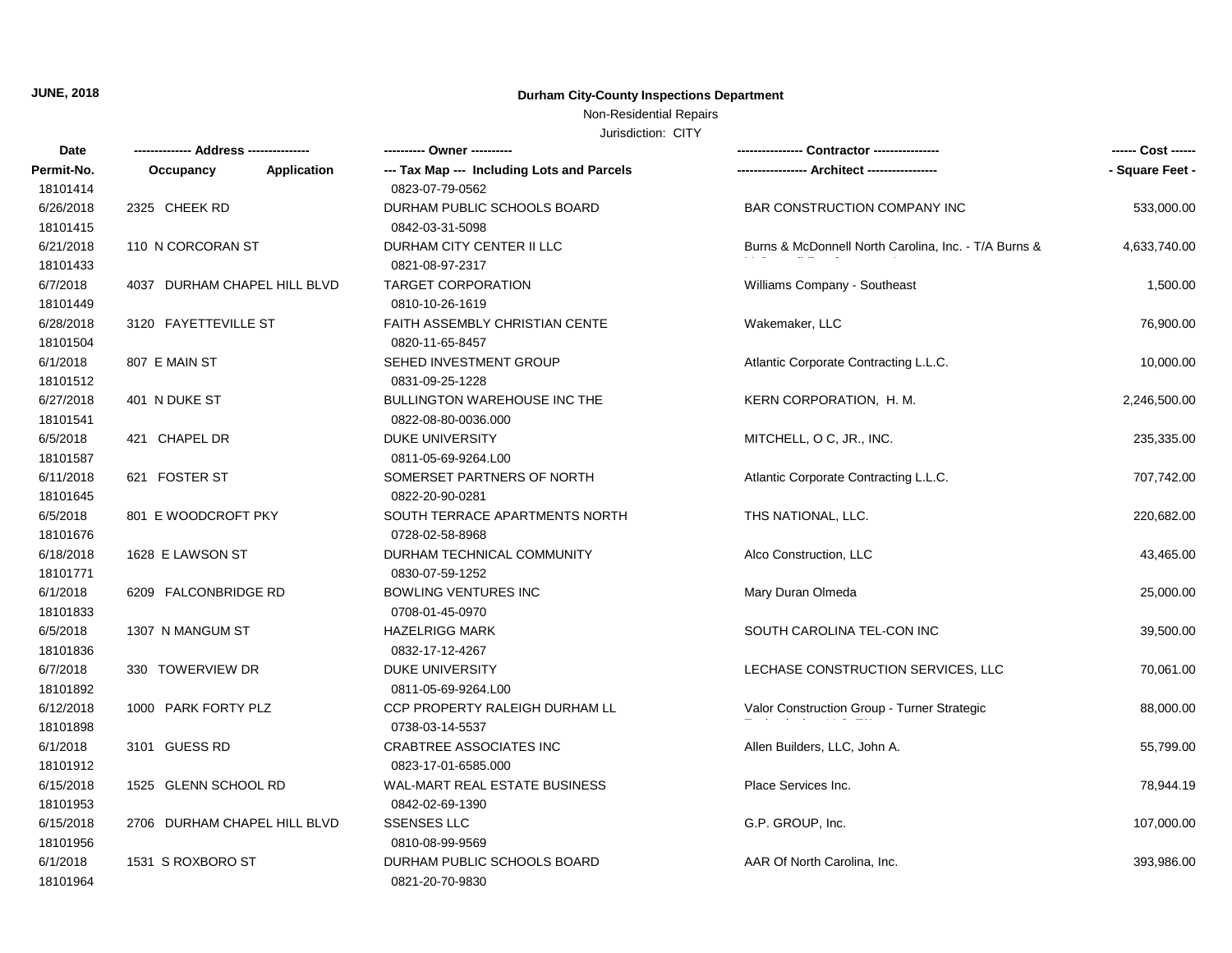## Non-Residential Repairs

| Date                  |                              |             | ---------- Owner ----------                       |                                                      | ------ Cost ------ |
|-----------------------|------------------------------|-------------|---------------------------------------------------|------------------------------------------------------|--------------------|
| Permit-No.            | Occupancy                    | Application | --- Tax Map --- Including Lots and Parcels        |                                                      | - Square Feet -    |
| 18101414              |                              |             | 0823-07-79-0562                                   |                                                      |                    |
| 6/26/2018             | 2325 CHEEK RD                |             | DURHAM PUBLIC SCHOOLS BOARD                       | BAR CONSTRUCTION COMPANY INC                         | 533,000.00         |
| 18101415              |                              |             | 0842-03-31-5098                                   |                                                      |                    |
| 6/21/2018             | 110 N CORCORAN ST            |             | DURHAM CITY CENTER II LLC                         | Burns & McDonnell North Carolina, Inc. - T/A Burns & | 4,633,740.00       |
| 18101433              |                              |             | 0821-08-97-2317                                   |                                                      |                    |
| 6/7/2018              | 4037 DURHAM CHAPEL HILL BLVD |             | <b>TARGET CORPORATION</b>                         | Williams Company - Southeast                         | 1,500.00           |
| 18101449              |                              |             | 0810-10-26-1619                                   |                                                      |                    |
| 6/28/2018<br>18101504 | 3120 FAYETTEVILLE ST         |             | FAITH ASSEMBLY CHRISTIAN CENTE<br>0820-11-65-8457 | Wakemaker, LLC                                       | 76,900.00          |
| 6/1/2018              | 807 E MAIN ST                |             | SEHED INVESTMENT GROUP                            | Atlantic Corporate Contracting L.L.C.                | 10,000.00          |
| 18101512              |                              |             | 0831-09-25-1228                                   |                                                      |                    |
| 6/27/2018             | 401 N DUKE ST                |             | <b>BULLINGTON WAREHOUSE INC THE</b>               | KERN CORPORATION, H. M.                              | 2,246,500.00       |
| 18101541              |                              |             | 0822-08-80-0036.000                               |                                                      |                    |
| 6/5/2018              | 421 CHAPEL DR                |             | <b>DUKE UNIVERSITY</b>                            | MITCHELL, O C, JR., INC.                             | 235,335.00         |
| 18101587              |                              |             | 0811-05-69-9264.L00                               |                                                      |                    |
| 6/11/2018             | 621 FOSTER ST                |             | SOMERSET PARTNERS OF NORTH                        | Atlantic Corporate Contracting L.L.C.                | 707,742.00         |
| 18101645              |                              |             | 0822-20-90-0281                                   |                                                      |                    |
| 6/5/2018              | 801 E WOODCROFT PKY          |             | SOUTH TERRACE APARTMENTS NORTH                    | THS NATIONAL, LLC.                                   | 220,682.00         |
| 18101676              |                              |             | 0728-02-58-8968                                   |                                                      |                    |
| 6/18/2018             | 1628 E LAWSON ST             |             | DURHAM TECHNICAL COMMUNITY                        | Alco Construction, LLC                               | 43,465.00          |
| 18101771              |                              |             | 0830-07-59-1252                                   |                                                      |                    |
| 6/1/2018              | 6209 FALCONBRIDGE RD         |             | <b>BOWLING VENTURES INC</b>                       | Mary Duran Olmeda                                    | 25,000.00          |
| 18101833              |                              |             | 0708-01-45-0970                                   |                                                      |                    |
| 6/5/2018              | 1307 N MANGUM ST             |             | <b>HAZELRIGG MARK</b>                             | SOUTH CAROLINA TEL-CON INC                           | 39,500.00          |
| 18101836              |                              |             | 0832-17-12-4267                                   |                                                      |                    |
| 6/7/2018              | 330 TOWERVIEW DR             |             | <b>DUKE UNIVERSITY</b>                            | LECHASE CONSTRUCTION SERVICES, LLC                   | 70,061.00          |
| 18101892              |                              |             | 0811-05-69-9264.L00                               |                                                      |                    |
| 6/12/2018             | 1000 PARK FORTY PLZ          |             | CCP PROPERTY RALEIGH DURHAM LL                    | Valor Construction Group - Turner Strategic          | 88,000.00          |
| 18101898              |                              |             | 0738-03-14-5537                                   |                                                      |                    |
| 6/1/2018              | 3101 GUESS RD                |             | <b>CRABTREE ASSOCIATES INC</b>                    | Allen Builders, LLC, John A.                         | 55,799.00          |
| 18101912              |                              |             | 0823-17-01-6585.000                               |                                                      |                    |
| 6/15/2018             | 1525 GLENN SCHOOL RD         |             | WAL-MART REAL ESTATE BUSINESS                     | Place Services Inc.                                  | 78,944.19          |
| 18101953              |                              |             | 0842-02-69-1390                                   |                                                      |                    |
| 6/15/2018             | 2706 DURHAM CHAPEL HILL BLVD |             | <b>SSENSES LLC</b>                                | G.P. GROUP, Inc.                                     | 107,000.00         |
| 18101956              |                              |             | 0810-08-99-9569                                   |                                                      |                    |
| 6/1/2018              | 1531 S ROXBORO ST            |             | DURHAM PUBLIC SCHOOLS BOARD                       | AAR Of North Carolina, Inc.                          | 393,986.00         |
| 18101964              |                              |             | 0821-20-70-9830                                   |                                                      |                    |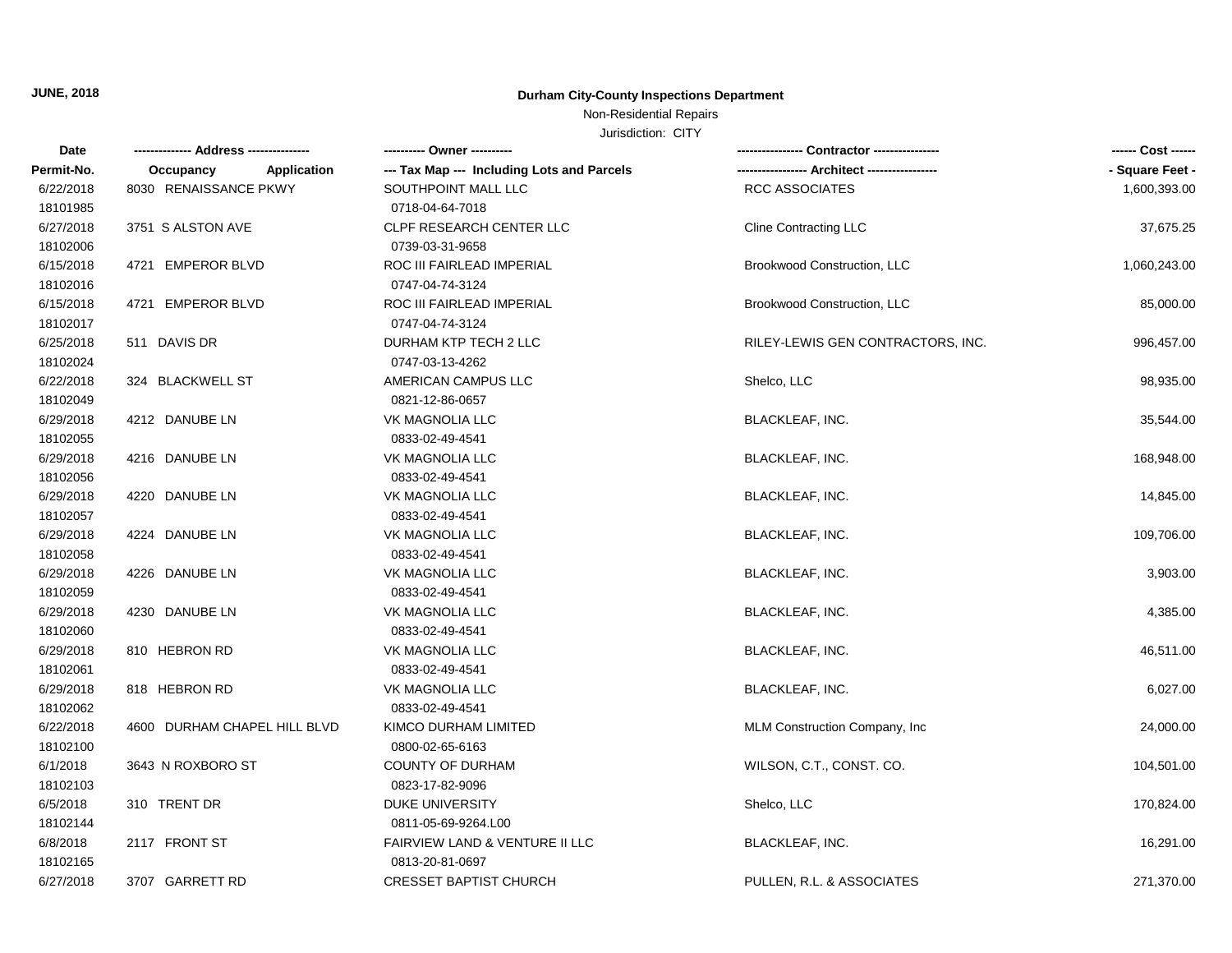# Non-Residential Repairs

| Date       |                                 | ---------- Owner ----------                |                                   | ------ Cost ------ |
|------------|---------------------------------|--------------------------------------------|-----------------------------------|--------------------|
| Permit-No. | <b>Application</b><br>Occupancy | --- Tax Map --- Including Lots and Parcels |                                   | - Square Feet -    |
| 6/22/2018  | 8030 RENAISSANCE PKWY           | SOUTHPOINT MALL LLC                        | <b>RCC ASSOCIATES</b>             | 1,600,393.00       |
| 18101985   |                                 | 0718-04-64-7018                            |                                   |                    |
| 6/27/2018  | 3751 S ALSTON AVE               | <b>CLPF RESEARCH CENTER LLC</b>            | <b>Cline Contracting LLC</b>      | 37,675.25          |
| 18102006   |                                 | 0739-03-31-9658                            |                                   |                    |
| 6/15/2018  | 4721 EMPEROR BLVD               | ROC III FAIRLEAD IMPERIAL                  | Brookwood Construction, LLC       | 1,060,243.00       |
| 18102016   |                                 | 0747-04-74-3124                            |                                   |                    |
| 6/15/2018  | 4721 EMPEROR BLVD               | ROC III FAIRLEAD IMPERIAL                  | Brookwood Construction, LLC       | 85,000.00          |
| 18102017   |                                 | 0747-04-74-3124                            |                                   |                    |
| 6/25/2018  | 511 DAVIS DR                    | DURHAM KTP TECH 2 LLC                      | RILEY-LEWIS GEN CONTRACTORS, INC. | 996,457.00         |
| 18102024   |                                 | 0747-03-13-4262                            |                                   |                    |
| 6/22/2018  | 324 BLACKWELL ST                | AMERICAN CAMPUS LLC                        | Shelco, LLC                       | 98,935.00          |
| 18102049   |                                 | 0821-12-86-0657                            |                                   |                    |
| 6/29/2018  | 4212 DANUBE LN                  | VK MAGNOLIA LLC                            | <b>BLACKLEAF, INC.</b>            | 35,544.00          |
| 18102055   |                                 | 0833-02-49-4541                            |                                   |                    |
| 6/29/2018  | 4216 DANUBE LN                  | VK MAGNOLIA LLC                            | <b>BLACKLEAF, INC.</b>            | 168,948.00         |
| 18102056   |                                 | 0833-02-49-4541                            |                                   |                    |
| 6/29/2018  | 4220 DANUBE LN                  | VK MAGNOLIA LLC                            | <b>BLACKLEAF, INC.</b>            | 14,845.00          |
| 18102057   |                                 | 0833-02-49-4541                            |                                   |                    |
| 6/29/2018  | 4224 DANUBE LN                  | VK MAGNOLIA LLC                            | BLACKLEAF, INC.                   | 109,706.00         |
| 18102058   |                                 | 0833-02-49-4541                            |                                   |                    |
| 6/29/2018  | 4226 DANUBE LN                  | VK MAGNOLIA LLC                            | <b>BLACKLEAF, INC.</b>            | 3,903.00           |
| 18102059   |                                 | 0833-02-49-4541                            |                                   |                    |
| 6/29/2018  | 4230 DANUBE LN                  | <b>VK MAGNOLIA LLC</b>                     | <b>BLACKLEAF, INC.</b>            | 4,385.00           |
| 18102060   |                                 | 0833-02-49-4541                            |                                   |                    |
| 6/29/2018  | 810 HEBRON RD                   | <b>VK MAGNOLIA LLC</b>                     | <b>BLACKLEAF, INC.</b>            | 46,511.00          |
| 18102061   |                                 | 0833-02-49-4541                            |                                   |                    |
| 6/29/2018  | 818 HEBRON RD                   | <b>VK MAGNOLIA LLC</b>                     | <b>BLACKLEAF, INC.</b>            | 6,027.00           |
| 18102062   |                                 | 0833-02-49-4541                            |                                   |                    |
| 6/22/2018  | 4600 DURHAM CHAPEL HILL BLVD    | KIMCO DURHAM LIMITED                       | MLM Construction Company, Inc.    | 24,000.00          |
| 18102100   |                                 | 0800-02-65-6163                            |                                   |                    |
| 6/1/2018   | 3643 N ROXBORO ST               | <b>COUNTY OF DURHAM</b>                    | WILSON, C.T., CONST. CO.          | 104,501.00         |
| 18102103   |                                 | 0823-17-82-9096                            |                                   |                    |
| 6/5/2018   | 310 TRENT DR                    | <b>DUKE UNIVERSITY</b>                     | Shelco, LLC                       | 170,824.00         |
| 18102144   |                                 | 0811-05-69-9264.L00                        |                                   |                    |
| 6/8/2018   | 2117 FRONT ST                   | FAIRVIEW LAND & VENTURE II LLC             | <b>BLACKLEAF, INC.</b>            | 16,291.00          |
| 18102165   |                                 | 0813-20-81-0697                            |                                   |                    |
| 6/27/2018  | 3707 GARRETT RD                 | <b>CRESSET BAPTIST CHURCH</b>              | PULLEN, R.L. & ASSOCIATES         | 271,370.00         |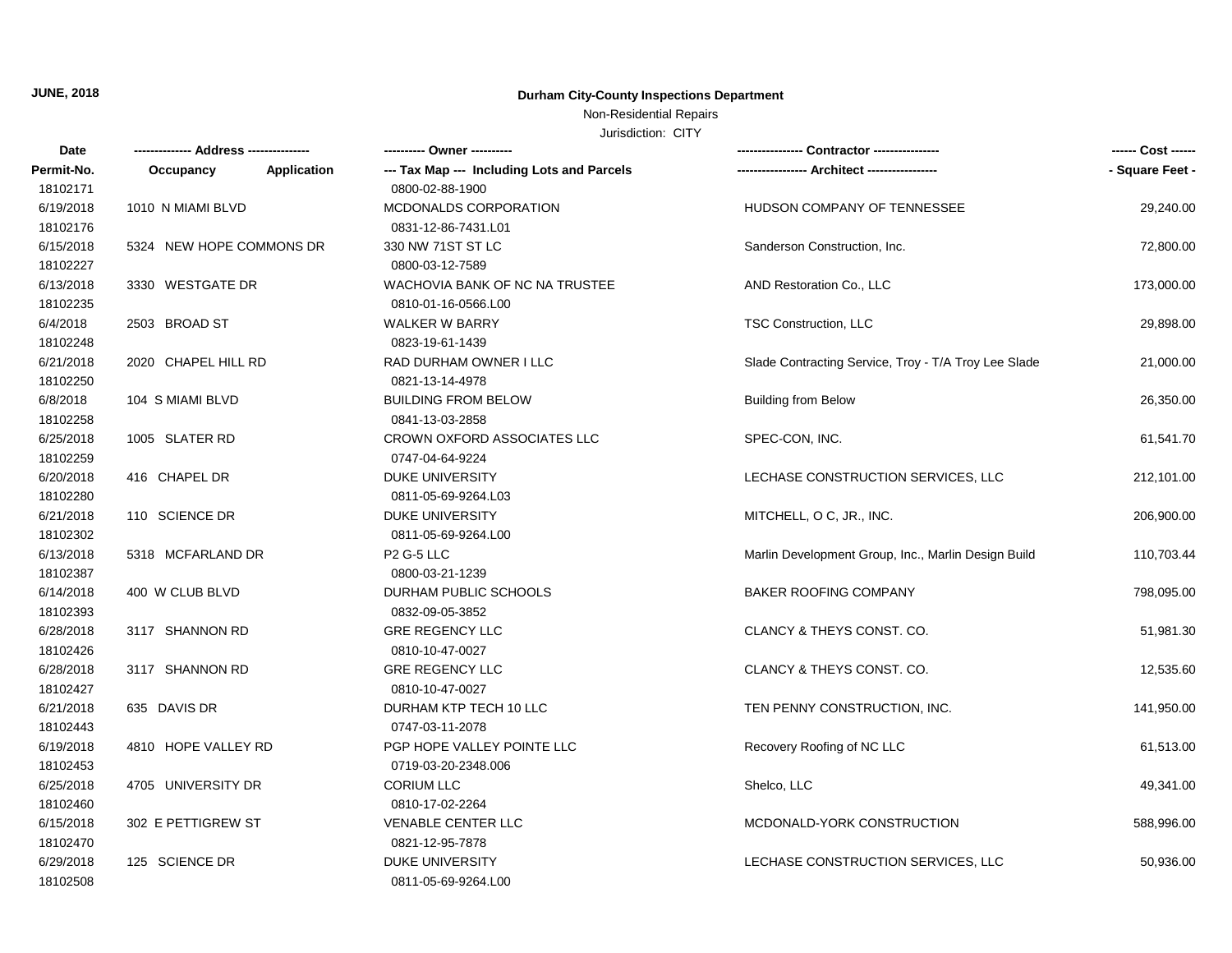## Non-Residential Repairs

| Date       |                          |                    | ---------- Owner ----------                |                                                      | ------ Cost ------ |
|------------|--------------------------|--------------------|--------------------------------------------|------------------------------------------------------|--------------------|
| Permit-No. | Occupancy                | <b>Application</b> | --- Tax Map --- Including Lots and Parcels |                                                      | - Square Feet -    |
| 18102171   |                          |                    | 0800-02-88-1900                            |                                                      |                    |
| 6/19/2018  | 1010 N MIAMI BLVD        |                    | MCDONALDS CORPORATION                      | HUDSON COMPANY OF TENNESSEE                          | 29,240.00          |
| 18102176   |                          |                    | 0831-12-86-7431.L01                        |                                                      |                    |
| 6/15/2018  | 5324 NEW HOPE COMMONS DR |                    | 330 NW 71ST ST LC                          | Sanderson Construction, Inc.                         | 72,800.00          |
| 18102227   |                          |                    | 0800-03-12-7589                            |                                                      |                    |
| 6/13/2018  | 3330 WESTGATE DR         |                    | WACHOVIA BANK OF NC NA TRUSTEE             | AND Restoration Co., LLC                             | 173,000.00         |
| 18102235   |                          |                    | 0810-01-16-0566.L00                        |                                                      |                    |
| 6/4/2018   | 2503 BROAD ST            |                    | <b>WALKER W BARRY</b>                      | TSC Construction, LLC                                | 29,898.00          |
| 18102248   |                          |                    | 0823-19-61-1439                            |                                                      |                    |
| 6/21/2018  | 2020 CHAPEL HILL RD      |                    | RAD DURHAM OWNER I LLC                     | Slade Contracting Service, Troy - T/A Troy Lee Slade | 21,000.00          |
| 18102250   |                          |                    | 0821-13-14-4978                            |                                                      |                    |
| 6/8/2018   | 104 S MIAMI BLVD         |                    | <b>BUILDING FROM BELOW</b>                 | <b>Building from Below</b>                           | 26,350.00          |
| 18102258   |                          |                    | 0841-13-03-2858                            |                                                      |                    |
| 6/25/2018  | 1005 SLATER RD           |                    | <b>CROWN OXFORD ASSOCIATES LLC</b>         | SPEC-CON, INC.                                       | 61,541.70          |
| 18102259   |                          |                    | 0747-04-64-9224                            |                                                      |                    |
| 6/20/2018  | 416 CHAPEL DR            |                    | <b>DUKE UNIVERSITY</b>                     | LECHASE CONSTRUCTION SERVICES, LLC                   | 212,101.00         |
| 18102280   |                          |                    | 0811-05-69-9264.L03                        |                                                      |                    |
| 6/21/2018  | 110 SCIENCE DR           |                    | <b>DUKE UNIVERSITY</b>                     | MITCHELL, O C, JR., INC.                             | 206,900.00         |
| 18102302   |                          |                    | 0811-05-69-9264.L00                        |                                                      |                    |
| 6/13/2018  | 5318 MCFARLAND DR        |                    | P <sub>2</sub> G-5 LLC                     | Marlin Development Group, Inc., Marlin Design Build  | 110,703.44         |
| 18102387   |                          |                    | 0800-03-21-1239                            |                                                      |                    |
| 6/14/2018  | 400 W CLUB BLVD          |                    | DURHAM PUBLIC SCHOOLS                      | <b>BAKER ROOFING COMPANY</b>                         | 798,095.00         |
| 18102393   |                          |                    | 0832-09-05-3852                            |                                                      |                    |
| 6/28/2018  | 3117 SHANNON RD          |                    | <b>GRE REGENCY LLC</b>                     | CLANCY & THEYS CONST. CO.                            | 51,981.30          |
| 18102426   |                          |                    | 0810-10-47-0027                            |                                                      |                    |
| 6/28/2018  | 3117 SHANNON RD          |                    | <b>GRE REGENCY LLC</b>                     | CLANCY & THEYS CONST. CO.                            | 12,535.60          |
| 18102427   |                          |                    | 0810-10-47-0027                            |                                                      |                    |
| 6/21/2018  | 635 DAVIS DR             |                    | DURHAM KTP TECH 10 LLC                     | TEN PENNY CONSTRUCTION, INC.                         | 141,950.00         |
| 18102443   |                          |                    | 0747-03-11-2078                            |                                                      |                    |
| 6/19/2018  | 4810 HOPE VALLEY RD      |                    | PGP HOPE VALLEY POINTE LLC                 | Recovery Roofing of NC LLC                           | 61,513.00          |
| 18102453   |                          |                    | 0719-03-20-2348.006                        |                                                      |                    |
| 6/25/2018  | 4705 UNIVERSITY DR       |                    | <b>CORIUM LLC</b>                          | Shelco, LLC                                          | 49,341.00          |
| 18102460   |                          |                    | 0810-17-02-2264                            |                                                      |                    |
| 6/15/2018  | 302 E PETTIGREW ST       |                    | <b>VENABLE CENTER LLC</b>                  | MCDONALD-YORK CONSTRUCTION                           | 588,996.00         |
| 18102470   |                          |                    | 0821-12-95-7878                            |                                                      |                    |
| 6/29/2018  | 125 SCIENCE DR           |                    | <b>DUKE UNIVERSITY</b>                     | LECHASE CONSTRUCTION SERVICES, LLC                   | 50,936.00          |
| 18102508   |                          |                    | 0811-05-69-9264.L00                        |                                                      |                    |